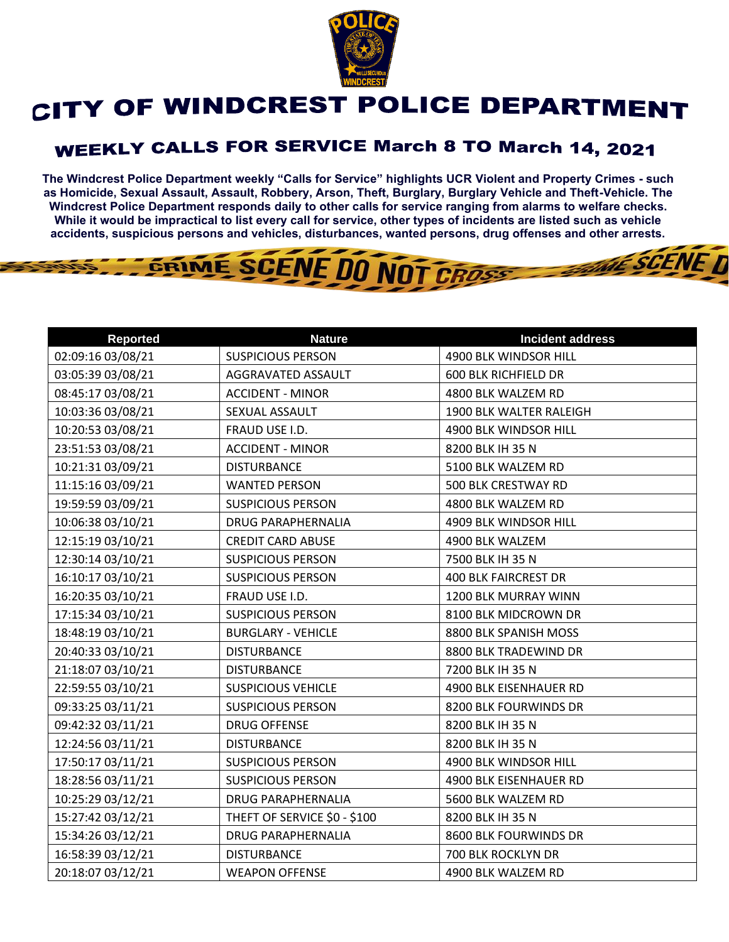

## CITY OF WINDCREST POLICE DEPARTMENT

## **WEEKLY CALLS FOR SERVICE March 8 TO March 14, 2021**

**The Windcrest Police Department weekly "Calls for Service" highlights UCR Violent and Property Crimes - such as Homicide, Sexual Assault, Assault, Robbery, Arson, Theft, Burglary, Burglary Vehicle and Theft-Vehicle. The Windcrest Police Department responds daily to other calls for service ranging from alarms to welfare checks. While it would be impractical to list every call for service, other types of incidents are listed such as vehicle accidents, suspicious persons and vehicles, disturbances, wanted persons, drug offenses and other arrests.** 

**THE SCENE D** 

## GRIME SCENE DO NOT CROSS

| <b>Reported</b>   | <b>Nature</b>                | <b>Incident address</b>     |
|-------------------|------------------------------|-----------------------------|
| 02:09:16 03/08/21 | <b>SUSPICIOUS PERSON</b>     | 4900 BLK WINDSOR HILL       |
| 03:05:39 03/08/21 | AGGRAVATED ASSAULT           | 600 BLK RICHFIELD DR        |
| 08:45:17 03/08/21 | <b>ACCIDENT - MINOR</b>      | 4800 BLK WALZEM RD          |
| 10:03:36 03/08/21 | SEXUAL ASSAULT               | 1900 BLK WALTER RALEIGH     |
| 10:20:53 03/08/21 | FRAUD USE I.D.               | 4900 BLK WINDSOR HILL       |
| 23:51:53 03/08/21 | <b>ACCIDENT - MINOR</b>      | 8200 BLK IH 35 N            |
| 10:21:31 03/09/21 | <b>DISTURBANCE</b>           | 5100 BLK WALZEM RD          |
| 11:15:16 03/09/21 | <b>WANTED PERSON</b>         | 500 BLK CRESTWAY RD         |
| 19:59:59 03/09/21 | <b>SUSPICIOUS PERSON</b>     | 4800 BLK WALZEM RD          |
| 10:06:38 03/10/21 | DRUG PARAPHERNALIA           | 4909 BLK WINDSOR HILL       |
| 12:15:19 03/10/21 | <b>CREDIT CARD ABUSE</b>     | 4900 BLK WALZEM             |
| 12:30:14 03/10/21 | <b>SUSPICIOUS PERSON</b>     | 7500 BLK IH 35 N            |
| 16:10:17 03/10/21 | <b>SUSPICIOUS PERSON</b>     | <b>400 BLK FAIRCREST DR</b> |
| 16:20:35 03/10/21 | FRAUD USE I.D.               | 1200 BLK MURRAY WINN        |
| 17:15:34 03/10/21 | <b>SUSPICIOUS PERSON</b>     | 8100 BLK MIDCROWN DR        |
| 18:48:19 03/10/21 | <b>BURGLARY - VEHICLE</b>    | 8800 BLK SPANISH MOSS       |
| 20:40:33 03/10/21 | <b>DISTURBANCE</b>           | 8800 BLK TRADEWIND DR       |
| 21:18:07 03/10/21 | <b>DISTURBANCE</b>           | 7200 BLK IH 35 N            |
| 22:59:55 03/10/21 | <b>SUSPICIOUS VEHICLE</b>    | 4900 BLK EISENHAUER RD      |
| 09:33:25 03/11/21 | <b>SUSPICIOUS PERSON</b>     | 8200 BLK FOURWINDS DR       |
| 09:42:32 03/11/21 | <b>DRUG OFFENSE</b>          | 8200 BLK IH 35 N            |
| 12:24:56 03/11/21 | <b>DISTURBANCE</b>           | 8200 BLK IH 35 N            |
| 17:50:17 03/11/21 | <b>SUSPICIOUS PERSON</b>     | 4900 BLK WINDSOR HILL       |
| 18:28:56 03/11/21 | <b>SUSPICIOUS PERSON</b>     | 4900 BLK EISENHAUER RD      |
| 10:25:29 03/12/21 | <b>DRUG PARAPHERNALIA</b>    | 5600 BLK WALZEM RD          |
| 15:27:42 03/12/21 | THEFT OF SERVICE \$0 - \$100 | 8200 BLK IH 35 N            |
| 15:34:26 03/12/21 | <b>DRUG PARAPHERNALIA</b>    | 8600 BLK FOURWINDS DR       |
| 16:58:39 03/12/21 | <b>DISTURBANCE</b>           | 700 BLK ROCKLYN DR          |
| 20:18:07 03/12/21 | <b>WEAPON OFFENSE</b>        | 4900 BLK WALZEM RD          |